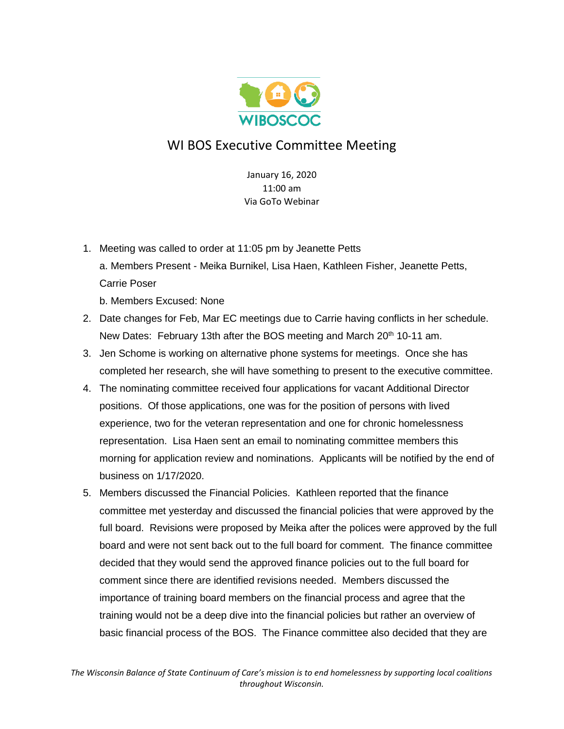

## WI BOS Executive Committee Meeting

January 16, 2020  $11:00 \text{ am}$ Via GoTo Webinar

1. Meeting was called to order at 11:05 pm by Jeanette Petts a. Members Present - Meika Burnikel, Lisa Haen, Kathleen Fisher, Jeanette Petts, Carrie Poser

b. Members Excused: None

- 2. Date changes for Feb, Mar EC meetings due to Carrie having conflicts in her schedule. New Dates: February 13th after the BOS meeting and March 20<sup>th</sup> 10-11 am.
- 3. Jen Schome is working on alternative phone systems for meetings. Once she has completed her research, she will have something to present to the executive committee.
- 4. The nominating committee received four applications for vacant Additional Director positions. Of those applications, one was for the position of persons with lived experience, two for the veteran representation and one for chronic homelessness representation. Lisa Haen sent an email to nominating committee members this morning for application review and nominations. Applicants will be notified by the end of business on 1/17/2020.
- 5. Members discussed the Financial Policies. Kathleen reported that the finance committee met yesterday and discussed the financial policies that were approved by the full board. Revisions were proposed by Meika after the polices were approved by the full board and were not sent back out to the full board for comment. The finance committee decided that they would send the approved finance policies out to the full board for comment since there are identified revisions needed. Members discussed the importance of training board members on the financial process and agree that the training would not be a deep dive into the financial policies but rather an overview of basic financial process of the BOS. The Finance committee also decided that they are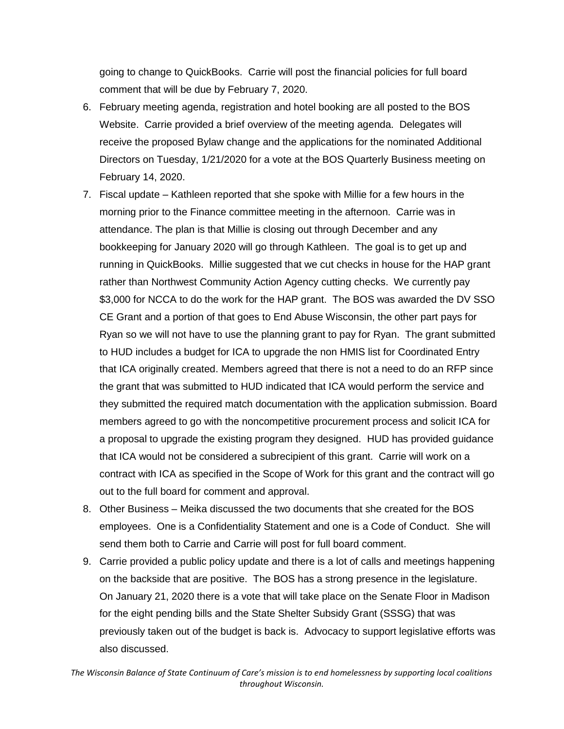going to change to QuickBooks. Carrie will post the financial policies for full board comment that will be due by February 7, 2020.

- 6. February meeting agenda, registration and hotel booking are all posted to the BOS Website. Carrie provided a brief overview of the meeting agenda. Delegates will receive the proposed Bylaw change and the applications for the nominated Additional Directors on Tuesday, 1/21/2020 for a vote at the BOS Quarterly Business meeting on February 14, 2020.
- 7. Fiscal update Kathleen reported that she spoke with Millie for a few hours in the morning prior to the Finance committee meeting in the afternoon. Carrie was in attendance. The plan is that Millie is closing out through December and any bookkeeping for January 2020 will go through Kathleen. The goal is to get up and running in QuickBooks. Millie suggested that we cut checks in house for the HAP grant rather than Northwest Community Action Agency cutting checks. We currently pay \$3,000 for NCCA to do the work for the HAP grant. The BOS was awarded the DV SSO CE Grant and a portion of that goes to End Abuse Wisconsin, the other part pays for Ryan so we will not have to use the planning grant to pay for Ryan. The grant submitted to HUD includes a budget for ICA to upgrade the non HMIS list for Coordinated Entry that ICA originally created. Members agreed that there is not a need to do an RFP since the grant that was submitted to HUD indicated that ICA would perform the service and they submitted the required match documentation with the application submission. Board members agreed to go with the noncompetitive procurement process and solicit ICA for a proposal to upgrade the existing program they designed. HUD has provided guidance that ICA would not be considered a subrecipient of this grant. Carrie will work on a contract with ICA as specified in the Scope of Work for this grant and the contract will go out to the full board for comment and approval.
- 8. Other Business Meika discussed the two documents that she created for the BOS employees. One is a Confidentiality Statement and one is a Code of Conduct. She will send them both to Carrie and Carrie will post for full board comment.
- 9. Carrie provided a public policy update and there is a lot of calls and meetings happening on the backside that are positive. The BOS has a strong presence in the legislature. On January 21, 2020 there is a vote that will take place on the Senate Floor in Madison for the eight pending bills and the State Shelter Subsidy Grant (SSSG) that was previously taken out of the budget is back is. Advocacy to support legislative efforts was also discussed.